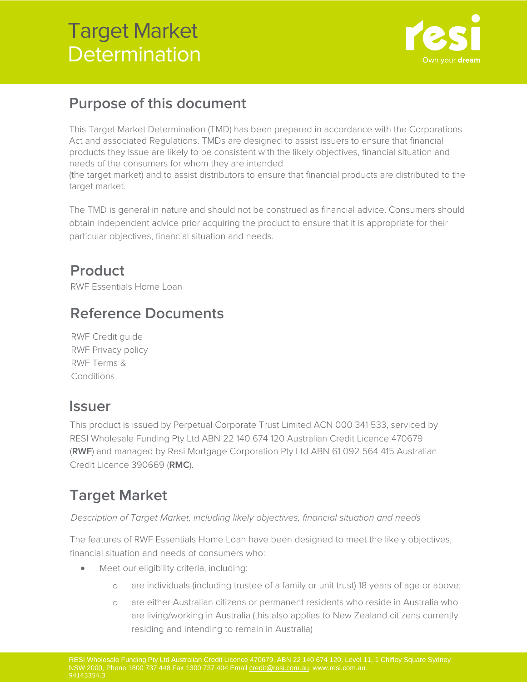

## **Purpose of this document**

This Target Market Determination (TMD) has been prepared in accordance with the Corporations Act and associated Regulations. TMDs are designed to assist issuers to ensure that financial products they issue are likely to be consistent with the likely objectives, financial situation and needs of the consumers for whom they are intended

(the target market) and to assist distributors to ensure that financial products are distributed to the target market.

The TMD is general in nature and should not be construed as financial advice. Consumers should obtain independent advice prior acquiring the product to ensure that it is appropriate for their particular objectives, financial situation and needs.

## **Product**

RWF Essentials Home Loan

## **Reference Documents**

RWF Credit guide RWF Privacy policy RWF Terms & **Conditions** 

### **Issuer**

This product is issued by Perpetual Corporate Trust Limited ACN 000 341 533, serviced by RESI Wholesale Funding Pty Ltd ABN 22 140 674 120 Australian Credit Licence 470679 (**RWF**) and managed by Resi Mortgage Corporation Pty Ltd ABN 61 092 564 415 Australian Credit Licence 390669 (**RMC**).

## **Target Market**

Description of Target Market, including likely objectives, financial situation and needs

The features of RWF Essentials Home Loan have been designed to meet the likely objectives, financial situation and needs of consumers who:

- Meet our eligibility criteria, including:
	- o are individuals (including trustee of a family or unit trust) 18 years of age or above;
	- o are either Australian citizens or permanent residents who reside in Australia who are living/working in Australia (this also applies to New Zealand citizens currently residing and intending to remain in Australia)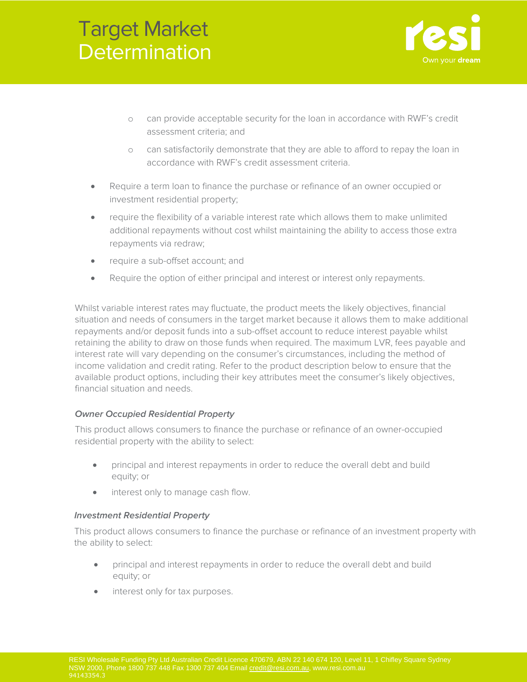

- o can provide acceptable security for the loan in accordance with RWF's credit assessment criteria; and
- o can satisfactorily demonstrate that they are able to afford to repay the loan in accordance with RWF's credit assessment criteria.
- Require a term loan to finance the purchase or refinance of an owner occupied or investment residential property;
- require the flexibility of a variable interest rate which allows them to make unlimited additional repayments without cost whilst maintaining the ability to access those extra repayments via redraw;
- require a sub-offset account; and
- Require the option of either principal and interest or interest only repayments.

Whilst variable interest rates may fluctuate, the product meets the likely objectives, financial situation and needs of consumers in the target market because it allows them to make additional repayments and/or deposit funds into a sub-offset account to reduce interest payable whilst retaining the ability to draw on those funds when required. The maximum LVR, fees payable and interest rate will vary depending on the consumer's circumstances, including the method of income validation and credit rating. Refer to the product description below to ensure that the available product options, including their key attributes meet the consumer's likely objectives, financial situation and needs.

### **Owner Occupied Residential Property**

This product allows consumers to finance the purchase or refinance of an owner-occupied residential property with the ability to select:

- principal and interest repayments in order to reduce the overall debt and build equity; or
- interest only to manage cash flow.

### **Investment Residential Property**

This product allows consumers to finance the purchase or refinance of an investment property with the ability to select:

- principal and interest repayments in order to reduce the overall debt and build equity; or
- interest only for tax purposes.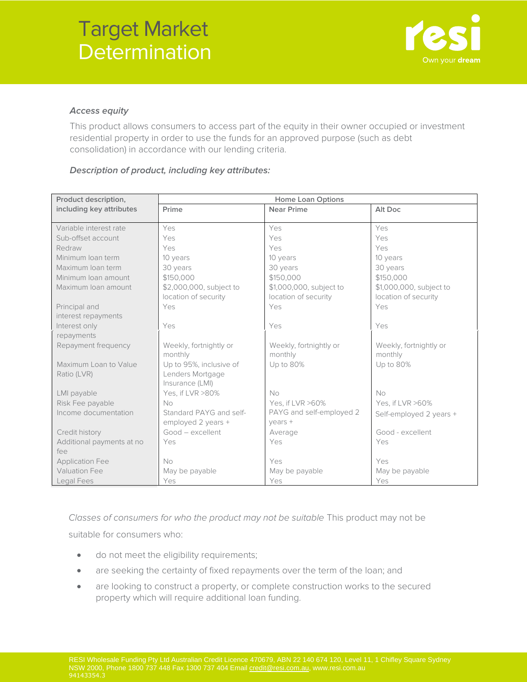

#### **Access equity**

This product allows consumers to access part of the equity in their owner occupied or investment residential property in order to use the funds for an approved purpose (such as debt consolidation) in accordance with our lending criteria.

### **Description of product, including key attributes:**

| Product description,      | <b>Home Loan Options</b> |                          |                         |
|---------------------------|--------------------------|--------------------------|-------------------------|
| including key attributes  | Prime                    | <b>Near Prime</b>        | Alt Doc                 |
|                           |                          |                          |                         |
| Variable interest rate    | Yes                      | Yes                      | Yes                     |
| Sub-offset account        | Yes                      | Yes                      | Yes                     |
| Redraw                    | Yes                      | Yes                      | Yes                     |
| Minimum Ioan term         | 10 years                 | 10 years                 | 10 years                |
| Maximum Ioan term         | 30 years                 | 30 years                 | 30 years                |
| Minimum Ioan amount       | \$150,000                | \$150,000                | \$150,000               |
| Maximum Ioan amount       | \$2,000,000, subject to  | \$1,000,000, subject to  | \$1,000,000, subject to |
|                           | location of security     | location of security     | location of security    |
| Principal and             | Yes                      | Yes                      | Yes                     |
| interest repayments       |                          |                          |                         |
| Interest only             | Yes                      | Yes                      | Yes                     |
| repayments                |                          |                          |                         |
| Repayment frequency       | Weekly, fortnightly or   | Weekly, fortnightly or   | Weekly, fortnightly or  |
|                           | monthly                  | monthly                  | monthly                 |
| Maximum Loan to Value     | Up to 95%, inclusive of  | Up to 80%                | Up to 80%               |
| Ratio (LVR)               | Lenders Mortgage         |                          |                         |
|                           | Insurance (LMI)          |                          |                         |
| LMI payable               | Yes, if LVR >80%         | No                       | No                      |
| Risk Fee payable          | <b>No</b>                | Yes, if LVR >60%         | Yes, if LVR >60%        |
| Income documentation      | Standard PAYG and self-  | PAYG and self-employed 2 | Self-employed 2 years + |
|                           | employed 2 years +       | $years +$                |                         |
| Credit history            | Good - excellent         | Average                  | Good - excellent        |
| Additional payments at no | Yes                      | Yes                      | Yes                     |
| fee                       |                          |                          |                         |
| <b>Application Fee</b>    | <b>No</b>                | Yes                      | Yes                     |
| <b>Valuation Fee</b>      | May be payable           | May be payable           | May be payable          |
| Legal Fees                | Yes                      | Yes                      | Yes                     |

Classes of consumers for who the product may not be suitable This product may not be suitable for consumers who:

- do not meet the eligibility requirements;
- are seeking the certainty of fixed repayments over the term of the loan; and
- are looking to construct a property, or complete construction works to the secured property which will require additional loan funding.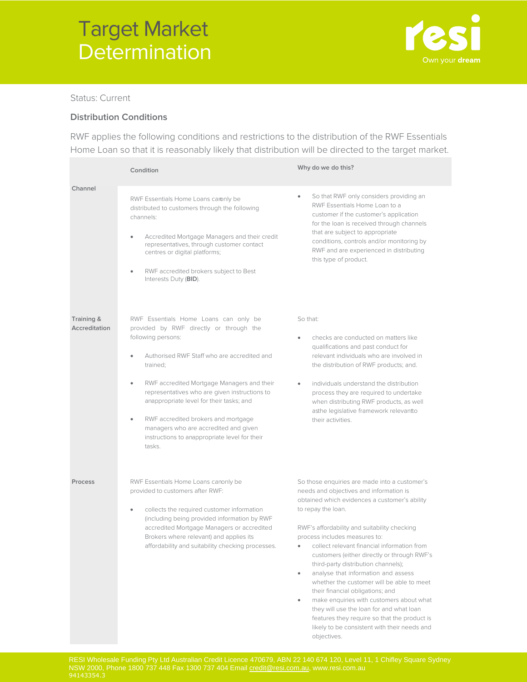

Status: Current

#### **Distribution Conditions**

RWF applies the following conditions and restrictions to the distribution of the RWF Essentials Home Loan so that it is reasonably likely that distribution will be directed to the target market.

|                             | Condition                                                                                                                                                                                                                                                                                                                                                                                                                                                                         | Why do we do this?                                                                                                                                                                                                                                                                                                                                                                                                                                                                                                                                                                                                                                                                                                          |
|-----------------------------|-----------------------------------------------------------------------------------------------------------------------------------------------------------------------------------------------------------------------------------------------------------------------------------------------------------------------------------------------------------------------------------------------------------------------------------------------------------------------------------|-----------------------------------------------------------------------------------------------------------------------------------------------------------------------------------------------------------------------------------------------------------------------------------------------------------------------------------------------------------------------------------------------------------------------------------------------------------------------------------------------------------------------------------------------------------------------------------------------------------------------------------------------------------------------------------------------------------------------------|
| Channel                     | RWF Essentials Home Loans caronly be<br>distributed to customers through the following<br>channels:<br>Accredited Mortgage Managers and their credit<br>$\bullet$<br>representatives, through customer contact<br>centres or digital platforms;<br>RWF accredited brokers subject to Best<br>$\bullet$<br>Interests Duty (BID).                                                                                                                                                   | So that RWF only considers providing an<br>$\bullet$<br>RWF Essentials Home Loan to a<br>customer if the customer's application<br>for the loan is received through channels<br>that are subject to appropriate<br>conditions, controls and/or monitoring by<br>RWF and are experienced in distributing<br>this type of product.                                                                                                                                                                                                                                                                                                                                                                                            |
| Training &<br>Accreditation | RWF Essentials Home Loans can only be<br>provided by RWF directly or through the<br>following persons:<br>Authorised RWF Staff who are accredited and<br>trained;<br>RWF accredited Mortgage Managers and their<br>$\bullet$<br>representatives who are given instructions to<br>anappropriate level for their tasks; and<br>RWF accredited brokers and mortgage<br>$\bullet$<br>managers who are accredited and given<br>instructions to anappropriate level for their<br>tasks. | So that:<br>checks are conducted on matters like<br>٠<br>qualifications and past conduct for<br>relevant individuals who are involved in<br>the distribution of RWF products; and.<br>individuals understand the distribution<br>$\bullet$<br>process they are required to undertake<br>when distributing RWF products, as well<br>asthe legislative framework relevantto<br>their activities.                                                                                                                                                                                                                                                                                                                              |
| Process                     | RWF Essentials Home Loans canonly be<br>provided to customers after RWF:<br>collects the required customer information<br>$\bullet$<br>(including being provided information by RWF<br>accredited Mortgage Managers or accredited<br>Brokers where relevant) and applies its<br>affordability and suitability checking processes.                                                                                                                                                 | So those enquiries are made into a customer's<br>needs and objectives and information is<br>obtained which evidences a customer's ability<br>to repay the loan.<br>RWF's affordability and suitability checking<br>process includes measures to:<br>• collect relevant financial information from<br>customers (either directly or through RWF's<br>third-party distribution channels);<br>analyse that information and assess<br>whether the customer will be able to meet<br>their financial obligations; and<br>make enquiries with customers about what<br>۰<br>they will use the loan for and what loan<br>features they require so that the product is<br>likely to be consistent with their needs and<br>objectives. |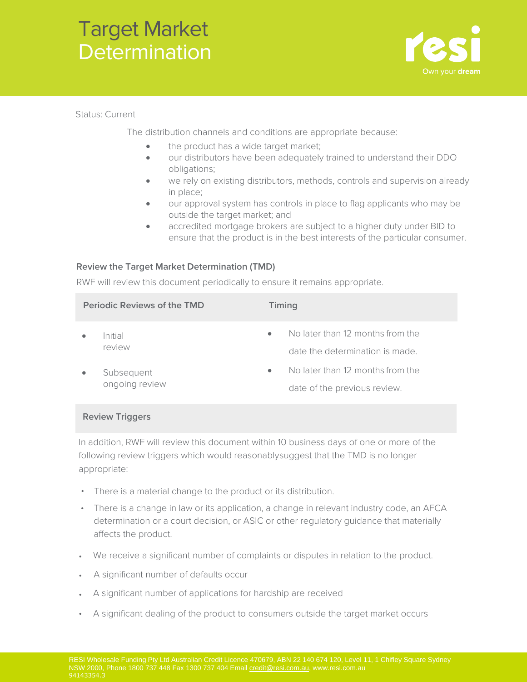

Status: Current

The distribution channels and conditions are appropriate because:

- the product has a wide target market;
- our distributors have been adequately trained to understand their DDO obligations;
- we rely on existing distributors, methods, controls and supervision already in place;
- our approval system has controls in place to flag applicants who may be outside the target market; and
- accredited mortgage brokers are subject to a higher duty under BID to ensure that the product is in the best interests of the particular consumer.

### **Review the Target Market Determination (TMD)**

RWF will review this document periodically to ensure it remains appropriate.

| <b>Periodic Reviews of the TMD</b> |                              | Timing    |                                                                     |
|------------------------------------|------------------------------|-----------|---------------------------------------------------------------------|
|                                    | Initial<br>review            | $\bullet$ | No later than 12 months from the<br>date the determination is made. |
|                                    | Subsequent<br>ongoing review | $\bullet$ | No later than 12 months from the<br>date of the previous review.    |

### **Review Triggers**

In addition, RWF will review this document within 10 business days of one or more of the following review triggers which would reasonably suggest that the TMD is no longer appropriate:

- There is a material change to the product or its distribution.
- There is a change in law or its application, a change in relevant industry code, an AFCA determination or a court decision, or ASIC or other regulatory guidance that materially affects the product.
- We receive a significant number of complaints or disputes in relation to the product.
- A significant number of defaults occur
- A significant number of applications for hardship are received
- A significant dealing of the product to consumers outside the target market occurs